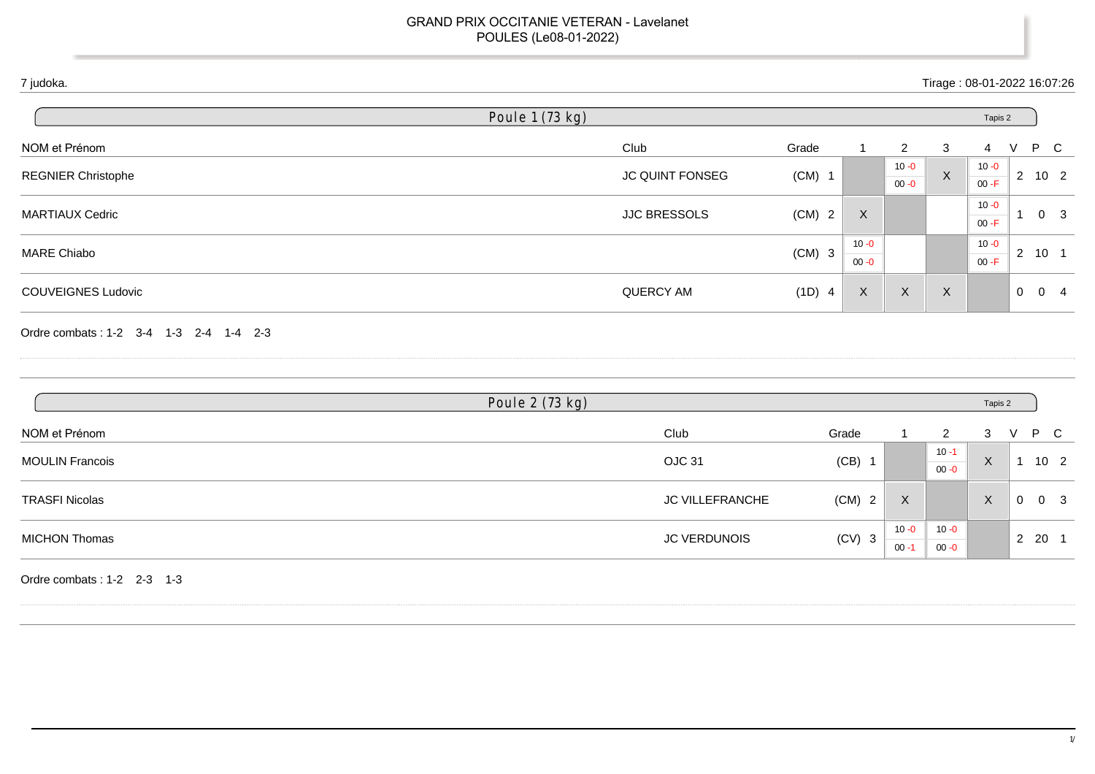| 7 judoka.                              |                     |          |                      |                      | Tirage: 08-01-2022 16:07:26 |                      |              |                                        |
|----------------------------------------|---------------------|----------|----------------------|----------------------|-----------------------------|----------------------|--------------|----------------------------------------|
|                                        | Poule 1 (73 kg)     |          |                      |                      |                             | Tapis 2              |              |                                        |
| NOM et Prénom                          | Club                | Grade    | 1                    | $\overline{2}$       | 3                           | 4                    | V            | P C                                    |
| <b>REGNIER Christophe</b>              | JC QUINT FONSEG     | $(CM)$ 1 |                      | $10 - 0$<br>$00 - 0$ | $\mathsf X$                 | $10 - 0$<br>$00 - F$ |              | $2 \quad 10 \quad 2$                   |
| <b>MARTIAUX Cedric</b>                 | <b>JJC BRESSOLS</b> | $(CM)$ 2 | $\mathsf{X}$         |                      |                             | $10 - 0$<br>$00 - F$ | $\mathbf{1}$ | $\overline{\mathbf{3}}$<br>$\mathbf 0$ |
| <b>MARE Chiabo</b>                     |                     | $(CM)$ 3 | $10 - 0$<br>$00 - 0$ |                      |                             | $10 - 0$<br>$00 - F$ |              | $2 \quad 10 \quad 1$                   |
| <b>COUVEIGNES Ludovic</b>              | QUERCY AM           | (1D) 4   | $\mathsf X$          | $\boldsymbol{X}$     | $\boldsymbol{\mathsf{X}}$   |                      |              | $0 \quad 0 \quad 4$                    |
| Ordre combats: 1-2 3-4 1-3 2-4 1-4 2-3 |                     |          |                      |                      |                             |                      |              |                                        |
|                                        | Poule 2 (73 kg)     |          |                      |                      |                             | Tapis 2              |              |                                        |
| NOM et Prénom                          | Club                |          | Grade                | -1                   | $\overline{2}$              | 3                    | V            | P<br>$\mathbf C$                       |
| <b>MOULIN Francois</b>                 | OJC 31              |          | $(CB)$ 1             |                      | $10 - 1$<br>$00 - 0$        | $\mathsf{X}$         |              | $1 10 2$                               |
| <b>TRASFI Nicolas</b>                  | JC VILLEFRANCHE     |          | $(CM)$ 2             | X                    |                             | $\mathsf{X}$         |              | $0 \quad 0 \quad 3$                    |
| <b>MICHON Thomas</b>                   | <b>JC VERDUNOIS</b> |          | $(CV)$ 3             | $10 - 0$<br>$00 - 1$ | $10 - 0$<br>$00 - 0$        |                      |              | $2 \quad 20 \quad 1$                   |
| Ordre combats: 1-2 2-3 1-3             |                     |          |                      |                      |                             |                      |              |                                        |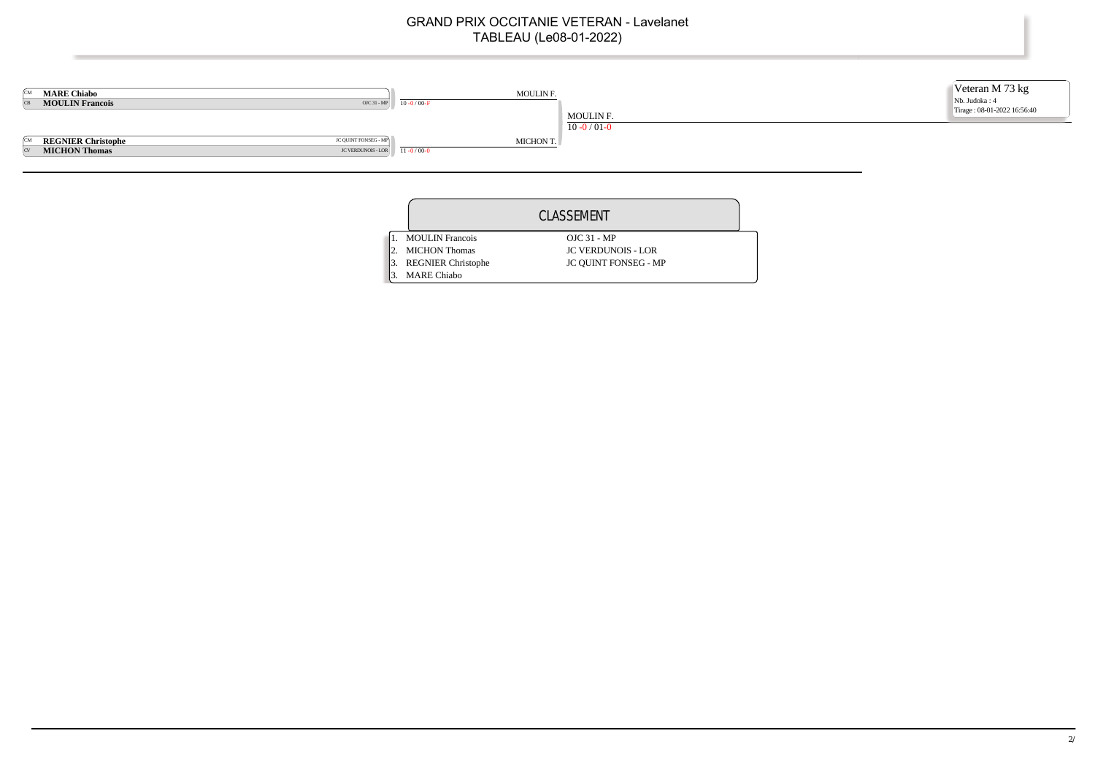

|                           | CLASSEMENT                  |  |
|---------------------------|-----------------------------|--|
| <b>MOULIN</b> Francois    | $OJC 31 - MP$               |  |
| <b>MICHON Thomas</b>      | <b>JC VERDUNOIS - LOR</b>   |  |
| <b>REGNIER Christophe</b> | <b>JC QUINT FONSEG - MP</b> |  |
| <b>MARE Chiabo</b>        |                             |  |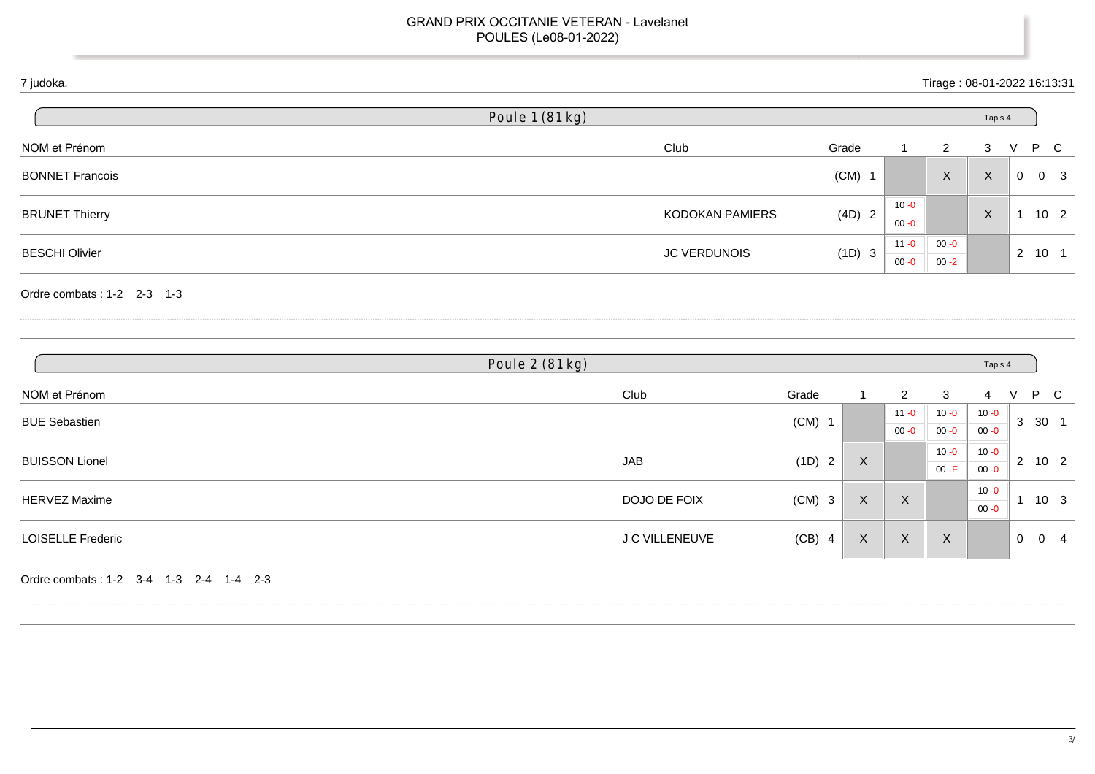## 7 judoka. Tirage : 08-01-2022 16:13:31

| Poule 1 (81 kg)     |          |                      |          |   |              |                                                   |
|---------------------|----------|----------------------|----------|---|--------------|---------------------------------------------------|
| Club                | Grade    |                      | 2        | 3 |              | P C                                               |
|                     | $(CM)$ 1 |                      | X        | X | $\mathbf{0}$ | $_{3}$<br>- 0                                     |
| KODOKAN PAMIERS     | (4D) 2   | $10 - 0$<br>$00 - 0$ |          | X |              | 10 <sub>2</sub>                                   |
| <b>JC VERDUNOIS</b> |          | $11 - 0$             | $00 - 0$ |   |              | $10 \quad 1$                                      |
|                     |          | (1D) 3               |          |   |              | Tapis 4<br>$\overline{2}$<br>$00 - 0$<br>$00 - 2$ |

Ordre combats : 1-2 2-3 1-3

|                          | Poule 2 (81 kg) |          |                           |                |                  | Tapis 4  |             |                      |  |  |
|--------------------------|-----------------|----------|---------------------------|----------------|------------------|----------|-------------|----------------------|--|--|
| NOM et Prénom            | Club            | Grade    |                           | $\overline{2}$ | 3                | 4        | v           | P C                  |  |  |
| <b>BUE Sebastien</b>     |                 | $(CM)$ 1 |                           | $11 - 0$       | $10 - 0$         | $10 - 0$ | 3           | 30 1                 |  |  |
|                          |                 |          |                           | $00 - 0$       | $00 - 0$         | $00 - 0$ |             |                      |  |  |
| <b>BUISSON Lionel</b>    | JAB             | (1D) 2   | $\boldsymbol{\mathsf{X}}$ |                | $10 - 0$         | $10 - 0$ |             | $2 \quad 10 \quad 2$ |  |  |
|                          |                 |          |                           |                | $00 - F$         | $00 - 0$ |             |                      |  |  |
|                          | DOJO DE FOIX    |          | $\boldsymbol{\mathsf{X}}$ | X              |                  | $10 - 0$ |             | 10 <sub>3</sub>      |  |  |
| <b>HERVEZ Maxime</b>     |                 | $(CM)$ 3 |                           |                |                  |          |             | $00 - 0$             |  |  |
| <b>LOISELLE Frederic</b> | J C VILLENEUVE  | $(CB)$ 4 | $\boldsymbol{\mathsf{X}}$ | X              | $\boldsymbol{X}$ |          | $\mathbf 0$ | 0<br>- 4             |  |  |

Ordre combats : 1-2 3-4 1-3 2-4 1-4 2-3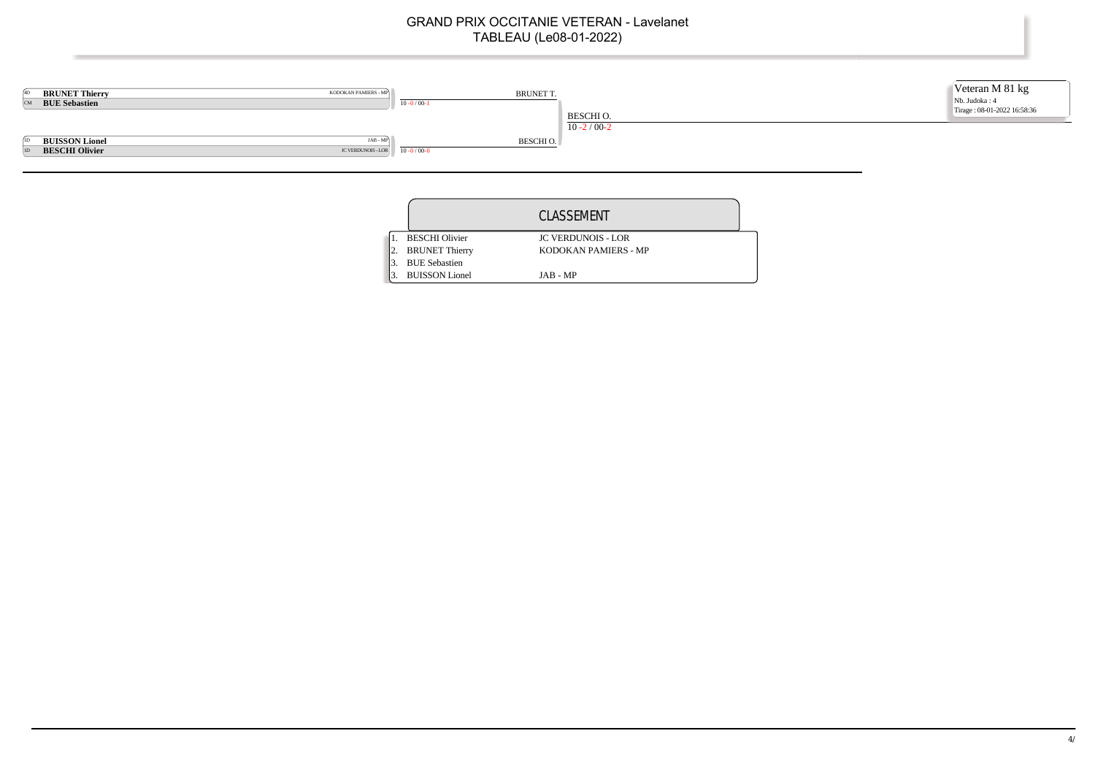

|  |                       | CLASSEMENT                |
|--|-----------------------|---------------------------|
|  | <b>BESCHI</b> Olivier | <b>JC VERDUNOIS - LOR</b> |
|  | <b>BRUNET</b> Thierry | KODOKAN PAMIERS - MP      |
|  | <b>BUE</b> Sebastien  |                           |
|  | <b>BUISSON</b> Lionel | JAB - MP                  |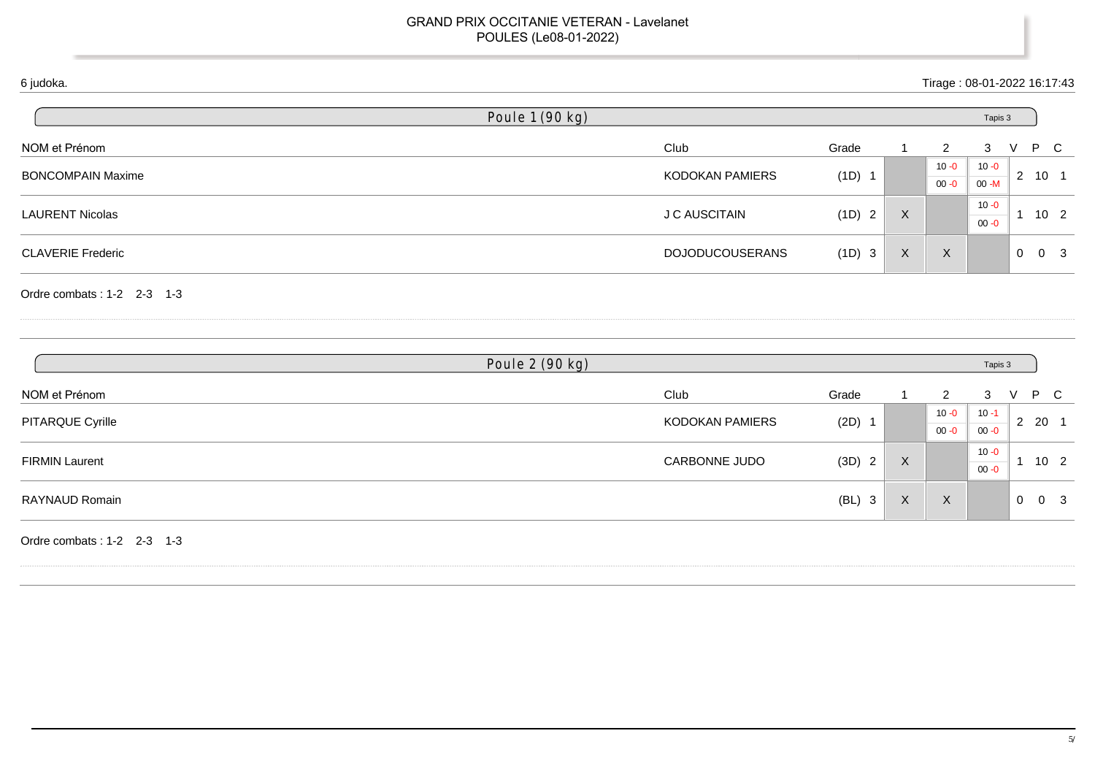## 6 judoka. Tirage : 08-01-2022 16:17:43

|                          | Poule 1 (90 kg)        |          |                           |          | Tapis 3  |                |                 |
|--------------------------|------------------------|----------|---------------------------|----------|----------|----------------|-----------------|
| NOM et Prénom            | Club                   | Grade    |                           | 2        | 3        |                | P C             |
| <b>BONCOMPAIN Maxime</b> | KODOKAN PAMIERS        |          |                           | $10 - 0$ | $10 - 0$ | $\overline{2}$ | 10 1            |
|                          |                        | $(1D)$ 1 |                           | $00 - 0$ | $00 - M$ |                |                 |
|                          |                        |          |                           |          | $10 - 0$ |                |                 |
| <b>LAURENT Nicolas</b>   | <b>J C AUSCITAIN</b>   | (1D) 2   | $\boldsymbol{\mathsf{X}}$ |          | $00 - 0$ |                | 10 <sub>2</sub> |
| <b>CLAVERIE Frederic</b> | <b>DOJODUCOUSERANS</b> | (1D) 3   | X                         | $\times$ |          | 0              | - 3<br>0        |

Ordre combats : 1-2 2-3 1-3

|                       | Poule 2 (90 kg) |                        |          |                           | Tapis 3  |                           |
|-----------------------|-----------------|------------------------|----------|---------------------------|----------|---------------------------|
| NOM et Prénom         | Club            | Grade                  |          | 2                         | 3        | P C                       |
| PITARQUE Cyrille      | KODOKAN PAMIERS | (2D)                   |          | $10 - 0$                  | $10 - 1$ | 2 20 1                    |
|                       |                 |                        |          | $00 - 0$                  | $00 - 0$ |                           |
|                       | CARBONNE JUDO   | (3D)<br>$\overline{2}$ | X        |                           | $10 - 0$ | 10 <sub>2</sub>           |
| <b>FIRMIN Laurent</b> |                 |                        |          |                           | $00 - 0$ |                           |
| RAYNAUD Romain        |                 | (BL)<br>3              | $\times$ | $\boldsymbol{\mathsf{X}}$ |          | $\mathbf{0}$<br>- 3<br>-0 |

Ordre combats : 1-2 2-3 1-3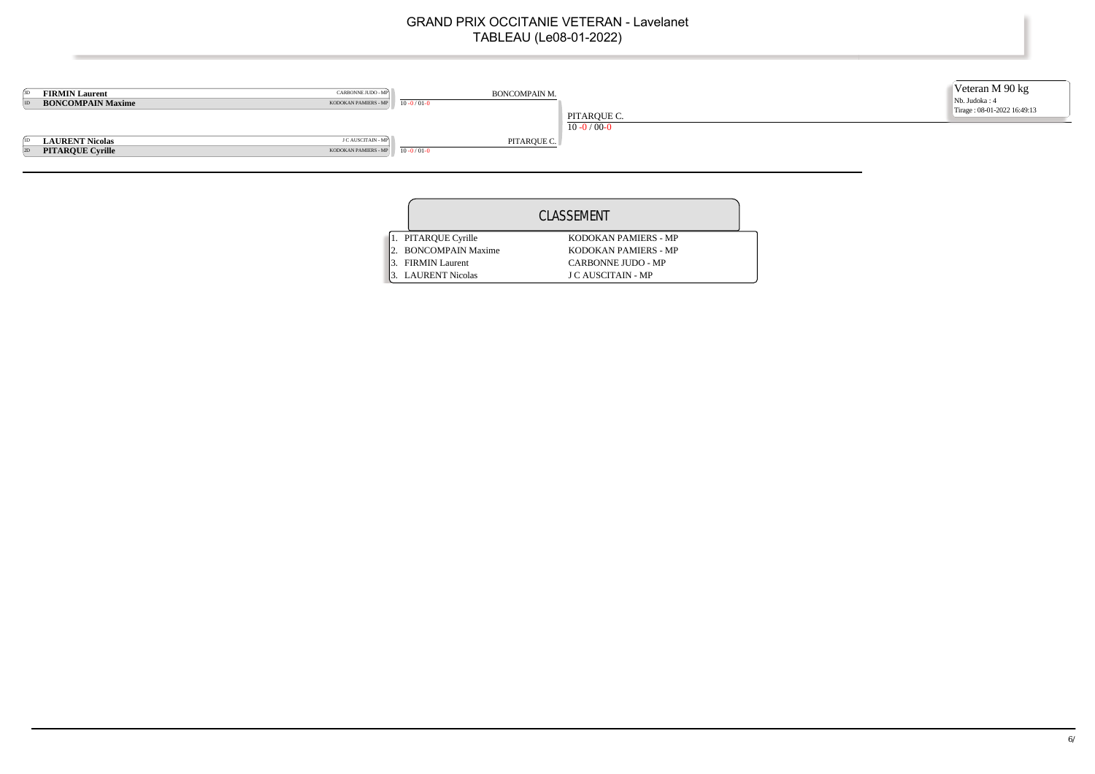

|                          | CLASSEMENT                |  |
|--------------------------|---------------------------|--|
| 1. PITARQUE Cyrille      | KODOKAN PAMIERS - MP      |  |
| <b>BONCOMPAIN Maxime</b> | KODOKAN PAMIERS - MP      |  |
| <b>FIRMIN Laurent</b>    | CARBONNE JUDO - MP        |  |
| <b>LAURENT Nicolas</b>   | <b>J C AUSCITAIN - MP</b> |  |